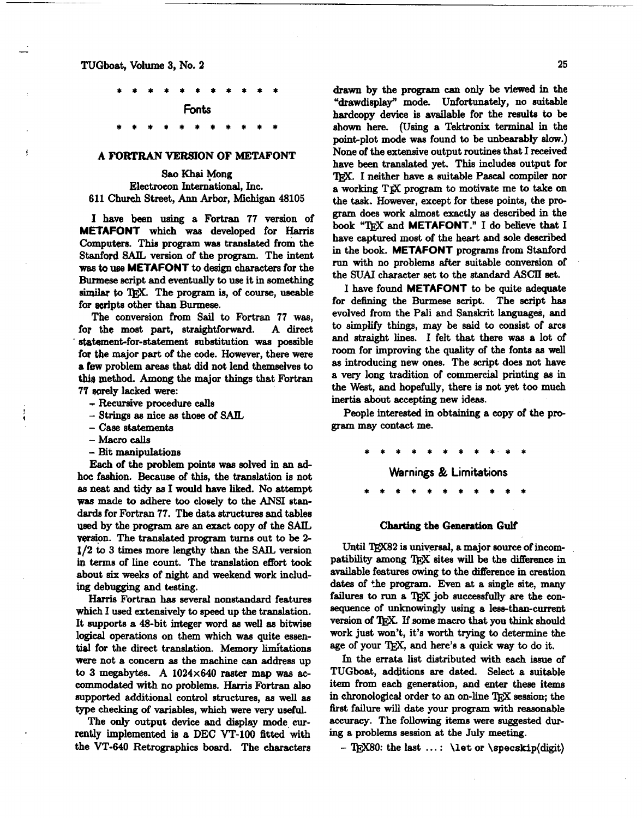### TUGboat, Volume 3, No. 2

-

ł

\*\*\*\*\*\*\*\*\*\*\* **Fonts**  \*\*\*\*\*\*\*\*\*\*\*

#### **A FORTRAN VERSION OF METAFONT**

# **Sao** Khai Mong Electrocon International, Inc. 611 Church Street, **Ann** Arbor, Michigan **48105**

I have been using a Fortran **77** version of **METAFONT** which was developed for Harris Computera. This program was **translated** from the Stanford **SAIL** version of the program. The intent **was to use METAFONT** to design characters for the **Burmese** script and eventually to use it in something similar to TFX. The program is, of course, useable for scripts other than Burmese.

The conversion from Sail to Fortran **77** was, for **the** most part, straightforward. A direct &atament-for-statement substitution **wae** possible for the major part of the code. However, there were a **few** problem areae that did not lend themselves to this method. Among the major things that Fortran **7'7** mly lacked **were:** 

- **Recursive** procedure **calls**
- Strings as nice as those of SAIL
- Caae statements
- **Macro calls**
- Bit manipulations

**Each** of the problem points was solved in an **ad**hoc fashion. Because of this, the translation is not as neat and tidy **as** I would **have** liked. No attempt was made to adhere **too** closely to the **ANSI** standards for Fortran **77.** The data structures and tables **used** by the program are **an** exact copy of the SAIL version. The translated program turns out to be 2-**1/2** to 3 times more lengthy than the SAIL version **tn** terms of line count. The translation effort took about **six** weeks of night and weekend work includ**ing** debugging and testing.

**Harria** Fortran has several nonstandard features which I used extensively to apeed up the translation. It supports a 48-bit integer word as well as bitwise logical operations on them which was quite essential for the direct translation. Memory limitations were not a concern as the machine **can address** up to 3 megabytes. A **1024x640** raster map was accommodated with no problems. Harris Fortran also supported additional control structures, as well as type checking of variables, which were **very** useful.

The only output device and display mode currently implemented **is** a **DEC VT-100** fitted with the VT-640 Retrographics board. The characters

**drawn** by the program **can** only be viewed in the "drawdisplay" mode. Unfortunately, no suitable hardcopy device is available for the **resulta** to be shown here. (Using a Tektronix terminal in the point-plot mode was found to be unbearably slow.) None of the extensive output routines that I received have **been** translated yet. This includes output for TFX. I neither have a suitable Pascal compiler nor a working T<sub>I</sub>X program to motivate me to take on the task. However, except for these points, the pro**gram** does work almostexactly **as** described in- the book "TFX and **METAFONT**." I do believe that I have captured most of the heart and sole described in the book. **METAFONT** programs from Stanford run with no problems after suitable conversion of the SUM character set to the standard ASCII set.

I have found **METAFONT** to be quite **adequate**  for defining the Burmese script. The script has evolved from the **Pali** and Sanskrit languages, and to simplify things, may be said **to** consist of arcs and straight lines. I felt that there was a lot of room for improving the **quality** of the fonts as well as introducing new ones. The script does not have a **very** long tradition of commercial printing as in the West, and hopefully, there is not yet too much inertia about accepting new ideas.

People interested in obtaining a copy of the pro**gram** may contact me.

**Warnings** & **Limitations** 

### *Charting* **the Generation Gulf**

Until TEX82 is universal, a major source of incompatibility among T<sub>RX</sub> sites will be the difference in available features awing to the difference in creation dates of the program. Even at a single site, many failures to run a TEX job successfully are the consequence of unknowingly using a lese-than-current version of TEX. If some macro that you think should work just won't, it's worth trying to determine the age of your TEX, and here's a quick way to do it.

In the errata list distributed with each issue of TUGboat, additions are dated. Select a suitable item from each generation, and **enter** these items in chronological order to an on-line TFX session; the first failure will date your program with reasonable accuracy. The following items **were** suggested during a problems session at the **July** meeting.

- TEX80: the last ...: \let or \specskip(digit)